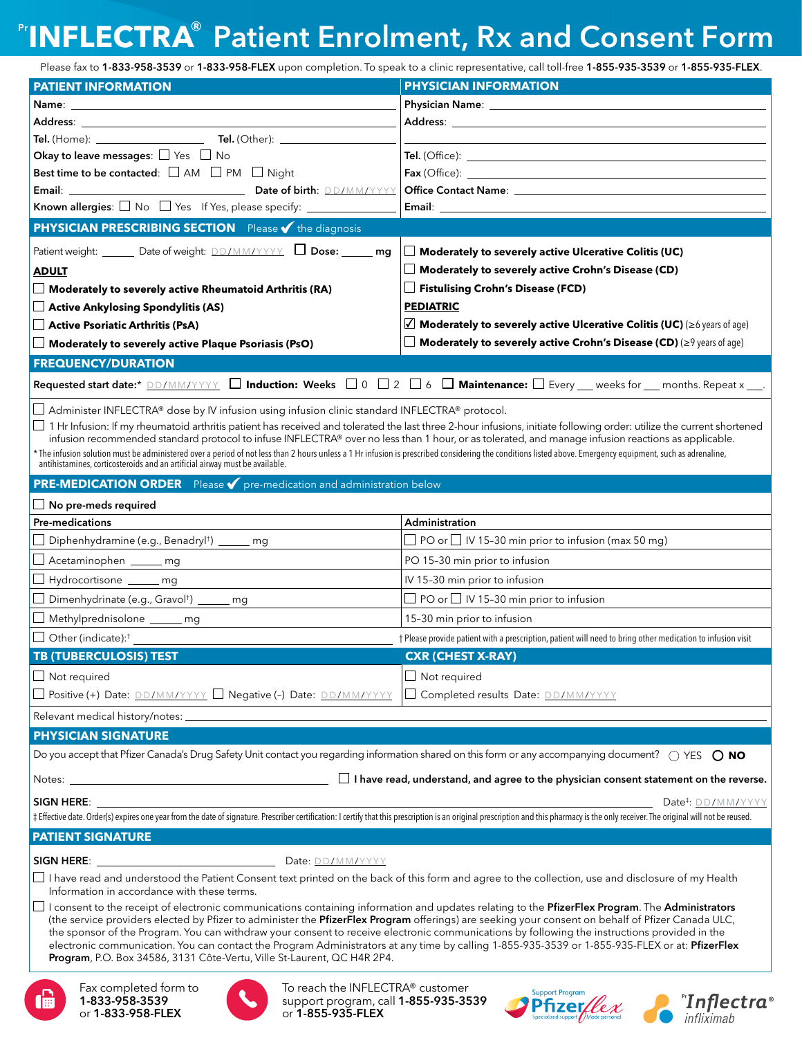# Pr**INFLECTRA**® Patient Enrolment, Rx and Consent Form

Please fax to 1-833-958-3539 or 1-833-958-FLEX upon completion. To speak to a clinic representative, call toll-free 1-855-935-3539 or 1-855-935-FLEX.

| <b>PATIENT INFORMATION</b>                                                                                                                                                                                                                                                                                                          | <b>PHYSICIAN INFORMATION</b>                                                                                                                                                                                                   |
|-------------------------------------------------------------------------------------------------------------------------------------------------------------------------------------------------------------------------------------------------------------------------------------------------------------------------------------|--------------------------------------------------------------------------------------------------------------------------------------------------------------------------------------------------------------------------------|
| <b>Name:</b><br>the control of the control of the control of the control of the control of the control of                                                                                                                                                                                                                           | Physician Name: Name: Name and Allen Name and Allen Name and Allen Name and Allen Name and Allen Name and Allen                                                                                                                |
|                                                                                                                                                                                                                                                                                                                                     | Address: and the contract of the contract of the contract of the contract of the contract of the contract of the contract of the contract of the contract of the contract of the contract of the contract of the contract of t |
|                                                                                                                                                                                                                                                                                                                                     |                                                                                                                                                                                                                                |
| Okay to leave messages: $\Box$ Yes $\Box$ No                                                                                                                                                                                                                                                                                        |                                                                                                                                                                                                                                |
| Best time to be contacted: $\square$ AM $\square$ PM $\square$ Night                                                                                                                                                                                                                                                                | <b>Fax</b> (Office):                                                                                                                                                                                                           |
|                                                                                                                                                                                                                                                                                                                                     |                                                                                                                                                                                                                                |
|                                                                                                                                                                                                                                                                                                                                     | Email: Email: All and the state of the state of the state of the state of the state of the state of the state of the state of the state of the state of the state of the state of the state of the state of the state of the s |
| <b>PHYSICIAN PRESCRIBING SECTION</b> Please <i>v</i> the diagnosis                                                                                                                                                                                                                                                                  |                                                                                                                                                                                                                                |
| Patient weight: ______ Date of weight: DD/MM/YYYY   Dose: _____ mg                                                                                                                                                                                                                                                                  | Moderately to severely active Ulcerative Colitis (UC)                                                                                                                                                                          |
| <b>ADULT</b>                                                                                                                                                                                                                                                                                                                        | Moderately to severely active Crohn's Disease (CD)                                                                                                                                                                             |
| $\Box$ Moderately to severely active Rheumatoid Arthritis (RA)                                                                                                                                                                                                                                                                      | Fistulising Crohn's Disease (FCD)                                                                                                                                                                                              |
| Active Ankylosing Spondylitis (AS)                                                                                                                                                                                                                                                                                                  | <b>PEDIATRIC</b>                                                                                                                                                                                                               |
| $\Box$ Active Psoriatic Arthritis (PsA)                                                                                                                                                                                                                                                                                             | $\sqrt{ }$ Moderately to severely active Ulcerative Colitis (UC) ( $\geq$ 6 years of age)                                                                                                                                      |
| $\Box$ Moderately to severely active Plaque Psoriasis (PsO)                                                                                                                                                                                                                                                                         | Moderately to severely active Crohn's Disease (CD) ( $\geq$ 9 years of age)                                                                                                                                                    |
| <b>FREQUENCY/DURATION</b>                                                                                                                                                                                                                                                                                                           |                                                                                                                                                                                                                                |
| Requested start date:* DD/MM/YYYY   Induction: Weeks   0   2   6   Maintenance:   Every __ weeks for __ months. Repeat x __.                                                                                                                                                                                                        |                                                                                                                                                                                                                                |
|                                                                                                                                                                                                                                                                                                                                     |                                                                                                                                                                                                                                |
| $\Box$ Administer INFLECTRA® dose by IV infusion using infusion clinic standard INFLECTRA® protocol.                                                                                                                                                                                                                                |                                                                                                                                                                                                                                |
| $\Box$ 1 Hr Infusion: If my rheumatoid arthritis patient has received and tolerated the last three 2-hour infusions, initiate following order: utilize the current shortened<br>infusion recommended standard protocol to infuse INFLECTRA® over no less than 1 hour, or as tolerated, and manage infusion reactions as applicable. |                                                                                                                                                                                                                                |
| * The infusion solution must be administered over a period of not less than 2 hours unless a 1 Hr infusion is prescribed considering the conditions listed above. Emergency equipment, such as adrenaline,<br>antihistamines, cor                                                                                                   |                                                                                                                                                                                                                                |
|                                                                                                                                                                                                                                                                                                                                     |                                                                                                                                                                                                                                |
| <b>PRE-MEDICATION ORDER</b> Please <b>V</b> pre-medication and administration below                                                                                                                                                                                                                                                 |                                                                                                                                                                                                                                |
| $\Box$ No pre-meds required                                                                                                                                                                                                                                                                                                         |                                                                                                                                                                                                                                |
| <b>Pre-medications</b>                                                                                                                                                                                                                                                                                                              | Administration                                                                                                                                                                                                                 |
| Diphenhydramine (e.g., Benadryl <sup>t</sup> ) _____ mg                                                                                                                                                                                                                                                                             | $\Box$ PO or $\Box$ IV 15-30 min prior to infusion (max 50 mg)                                                                                                                                                                 |
| Acetaminophen _____ mg                                                                                                                                                                                                                                                                                                              | PO 15-30 min prior to infusion                                                                                                                                                                                                 |
| Hydrocortisone _____ mg                                                                                                                                                                                                                                                                                                             | IV 15-30 min prior to infusion                                                                                                                                                                                                 |
| □ Dimenhydrinate (e.g., Gravol <sup>†</sup> ) _____ mg                                                                                                                                                                                                                                                                              | $\Box$ PO or $\Box$ IV 15-30 min prior to infusion                                                                                                                                                                             |
| Methylprednisolone _____ mg                                                                                                                                                                                                                                                                                                         | 15-30 min prior to infusion                                                                                                                                                                                                    |
| $\Box$ Other (indicate): <sup>†</sup>                                                                                                                                                                                                                                                                                               | † Please provide patient with a prescription, patient will need to bring other medication to infusion visit                                                                                                                    |
| <b>TB (TUBERCULOSIS) TEST</b>                                                                                                                                                                                                                                                                                                       | <b>CXR (CHEST X-RAY)</b>                                                                                                                                                                                                       |
| $\Box$ Not required                                                                                                                                                                                                                                                                                                                 | $\Box$ Not required                                                                                                                                                                                                            |
| □ Positive (+) Date: DD/MM/YYYY □ Negative (-) Date: DD/MM/YYYY                                                                                                                                                                                                                                                                     | □ Completed results Date: <b>DD/MM/YYYY</b>                                                                                                                                                                                    |
| Relevant medical history/notes: _                                                                                                                                                                                                                                                                                                   |                                                                                                                                                                                                                                |
| <b>PHYSICIAN SIGNATURE</b>                                                                                                                                                                                                                                                                                                          |                                                                                                                                                                                                                                |
| Do you accept that Pfizer Canada's Drug Safety Unit contact you regarding information shared on this form or any accompanying document? $\bigcirc$ YES $\bigcirc$ NO                                                                                                                                                                |                                                                                                                                                                                                                                |
|                                                                                                                                                                                                                                                                                                                                     |                                                                                                                                                                                                                                |
| Notes: $\overline{\phantom{a}}$                                                                                                                                                                                                                                                                                                     | $\Box$ I have read, understand, and agree to the physician consent statement on the reverse.                                                                                                                                   |
| SIGN HERE: _                                                                                                                                                                                                                                                                                                                        | Date <sup>#</sup> : DD/MM/YYYY                                                                                                                                                                                                 |
| ‡ Effective date. Order(s) expires one year from the date of signature. Prescriber certification: I certify that this prescription is an original prescription and this pharmacy is the only receiver. The original will not b                                                                                                      |                                                                                                                                                                                                                                |
| <b>PATIENT SIGNATURE</b>                                                                                                                                                                                                                                                                                                            |                                                                                                                                                                                                                                |
| <b>SIGN HERE:</b><br>Date: DD/MM/YYYY                                                                                                                                                                                                                                                                                               |                                                                                                                                                                                                                                |
| $\Box$ I have read and understood the Patient Consent text printed on the back of this form and agree to the collection, use and disclosure of my Health                                                                                                                                                                            |                                                                                                                                                                                                                                |
| Information in accordance with these terms.                                                                                                                                                                                                                                                                                         |                                                                                                                                                                                                                                |
| I consent to the receipt of electronic communications containing information and updates relating to the PfizerFlex Program. The Administrators<br>$\overline{\phantom{a}}$<br>(the service providers elected by Pfizer to administer the PfizerFlex Program offerings) are seeking your consent on behalf of Pfizer Canada ULC,    |                                                                                                                                                                                                                                |
| the sponsor of the Program. You can withdraw your consent to receive electronic communications by following the instructions provided in the                                                                                                                                                                                        |                                                                                                                                                                                                                                |
| electronic communication. You can contact the Program Administrators at any time by calling 1-855-935-3539 or 1-855-935-FLEX or at: PfizerFlex<br>Program, P.O. Box 34586, 3131 Côte-Vertu, Ville St-Laurent, QC H4R 2P4.                                                                                                           |                                                                                                                                                                                                                                |
|                                                                                                                                                                                                                                                                                                                                     |                                                                                                                                                                                                                                |
| To reach the INFLECTRA® customer<br>Fax completed form to                                                                                                                                                                                                                                                                           | <b>Support Program</b>                                                                                                                                                                                                         |
| 1-833-958-3539<br>support program, call 1-855-935-3539<br>I⊞<br>or 1-855-935-FLEX<br>or 1-833-958-FLEX                                                                                                                                                                                                                              | "Inflectra®<br>infliximab<br><b>Pfizer</b>                                                                                                                                                                                     |
|                                                                                                                                                                                                                                                                                                                                     |                                                                                                                                                                                                                                |